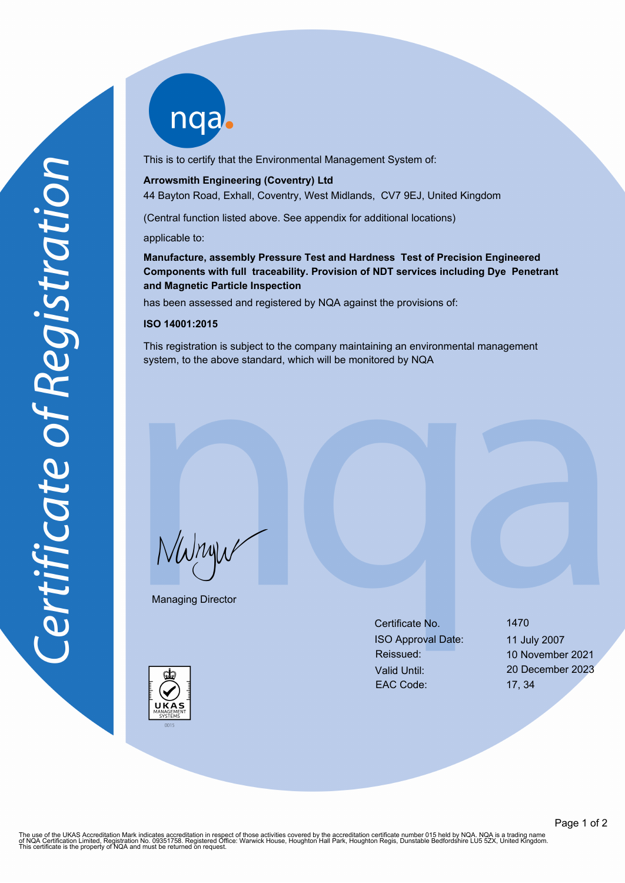nqab

This is to certify that the Environmental Management System of:

### **Arrowsmith Engineering (Coventry) Ltd**

44 Bayton Road, Exhall, Coventry, West Midlands, CV7 9EJ, United Kingdom

(Central function listed above. See appendix for additional locations)

applicable to:

**Manufacture, assembly Pressure Test and Hardness Test of Precision Engineered Components with full traceability. Provision of NDT services including Dye Penetrant and Magnetic Particle Inspection**

has been assessed and registered by NQA against the provisions of:

#### **ISO 14001:2015**

This registration is subject to the company maintaining an environmental management system, to the above standard, which will be monitored by NQA

NWnyw

Managing Director

Certificate No. 1470 ISO Approval Date: 11 July 2007 Reissued: 10 November 2021 Valid Until: 20 December 2023 EAC Code: 17, 34